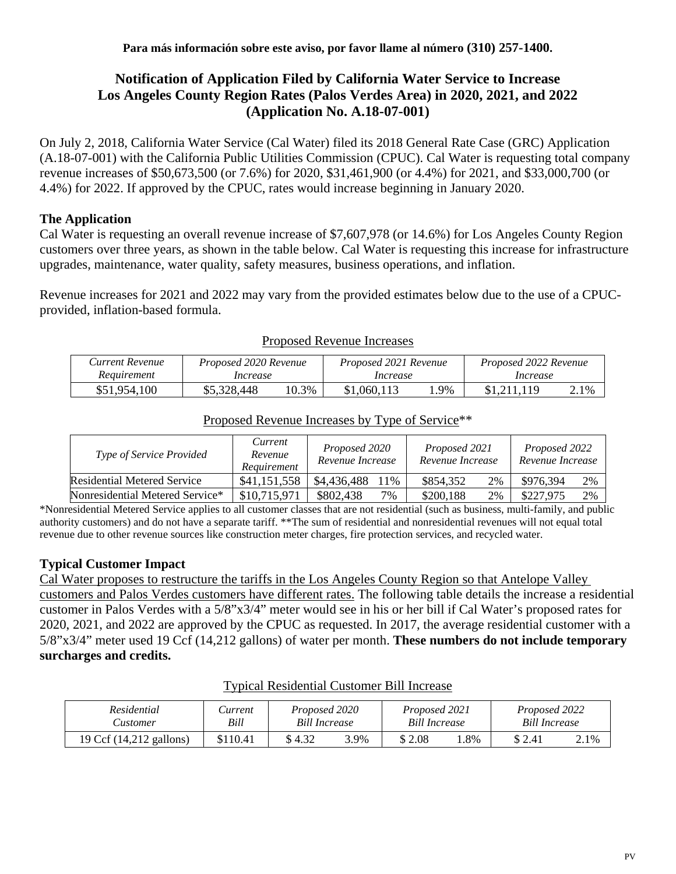# **Notification of Application Filed by California Water Service to Increase Los Angeles County Region Rates (Palos Verdes Area) in 2020, 2021, and 2022 (Application No. A.18-07-001)**

On July 2, 2018, California Water Service (Cal Water) filed its 2018 General Rate Case (GRC) Application (A.18-07-001) with the California Public Utilities Commission (CPUC). Cal Water is requesting total company revenue increases of \$50,673,500 (or 7.6%) for 2020, \$31,461,900 (or 4.4%) for 2021, and \$33,000,700 (or 4.4%) for 2022. If approved by the CPUC, rates would increase beginning in January 2020.

### **The Application**

Cal Water is requesting an overall revenue increase of \$7,607,978 (or 14.6%) for Los Angeles County Region customers over three years, as shown in the table below. Cal Water is requesting this increase for infrastructure upgrades, maintenance, water quality, safety measures, business operations, and inflation.

Revenue increases for 2021 and 2022 may vary from the provided estimates below due to the use of a CPUCprovided, inflation-based formula.

| Current Revenue | Proposed 2020 Revenue |       | Proposed 2021 Revenue |     | Proposed 2022 Revenue |      |
|-----------------|-----------------------|-------|-----------------------|-----|-----------------------|------|
| Requirement     | Increase              |       | Increase              |     | Increase              |      |
| \$51,954,100    | \$5,328,448           | 10.3% | \$1,060,113           | .9% |                       | 2.1% |

#### Proposed Revenue Increases

| <i>Type of Service Provided</i> | Current<br>Revenue<br>Requirement | Proposed 2020<br>Revenue Increase | Proposed 2021<br>Revenue Increase | Proposed 2022<br>Revenue Increase |  |
|---------------------------------|-----------------------------------|-----------------------------------|-----------------------------------|-----------------------------------|--|
| Residential Metered Service     | \$41,151,558                      | \$4,436,488<br>11%                | \$854,352<br>2%                   | 2%<br>\$976,394                   |  |
| Nonresidential Metered Service* | \$10,715,971                      | \$802,438<br>$7\%$                | \$200,188<br>2%                   | 2%<br>\$227,975                   |  |

### Proposed Revenue Increases by Type of Service\*\*

\*Nonresidential Metered Service applies to all customer classes that are not residential (such as business, multi-family, and public authority customers) and do not have a separate tariff. \*\*The sum of residential and nonresidential revenues will not equal total revenue due to other revenue sources like construction meter charges, fire protection services, and recycled water.

# **Typical Customer Impact**

Cal Water proposes to restructure the tariffs in the Los Angeles County Region so that Antelope Valley customers and Palos Verdes customers have different rates. The following table details the increase a residential customer in Palos Verdes with a 5/8"x3/4" meter would see in his or her bill if Cal Water's proposed rates for 2020, 2021, and 2022 are approved by the CPUC as requested. In 2017, the average residential customer with a 5/8"x3/4" meter used 19 Ccf (14,212 gallons) of water per month. **These numbers do not include temporary surcharges and credits.**

| Residential             | Current  | Proposed 2020        |      | Proposed 2021        |     | Proposed 2022 |      |
|-------------------------|----------|----------------------|------|----------------------|-----|---------------|------|
| Customer                | Bill     | <b>Bill Increase</b> |      | <b>Bill Increase</b> |     | Bill Increase |      |
| 19 Ccf (14,212 gallons) | \$110.41 | \$ 4.32              | 3.9% | \$2.08               | .8% | \$2.41        | 2.1% |

#### Typical Residential Customer Bill Increase